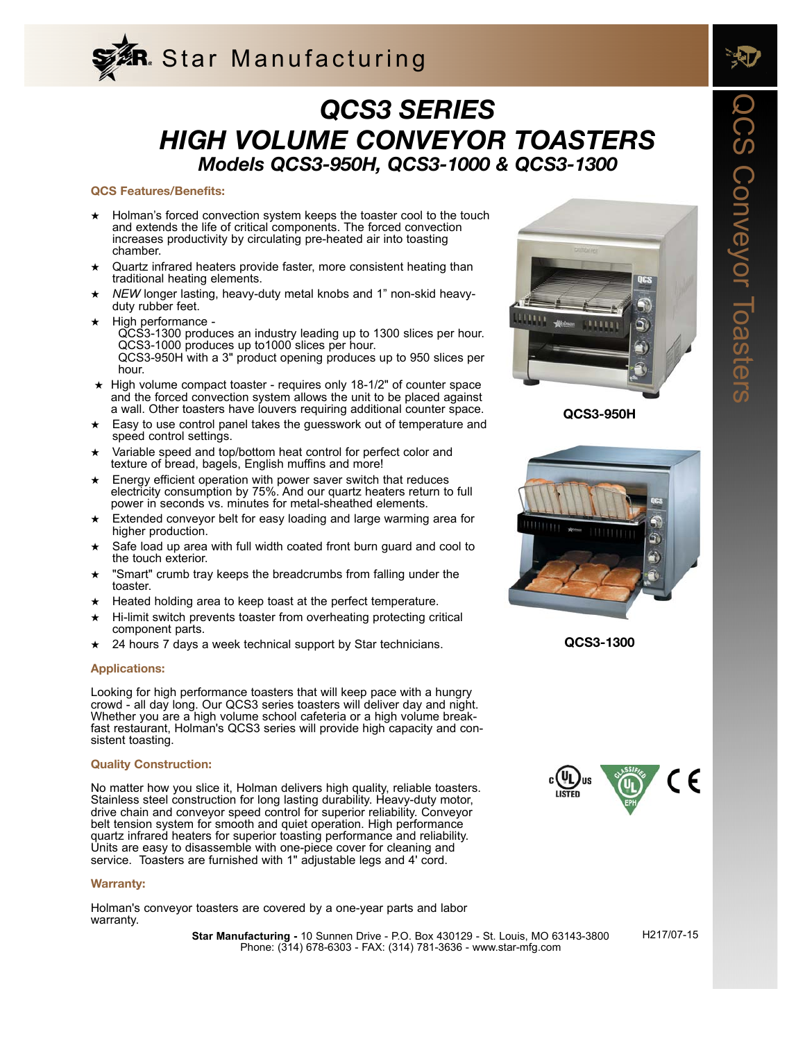

# *QCS3 SERIES HIGH VOLUME CONVEYOR TOASTERS Models QCS3-950H, QCS3-1000 & QCS3-1300*

### **QCS Features/Benefits:**

- ★ Holman's forced convection system keeps the toaster cool to the touch and extends the life of critical components. The forced convection increases productivity by circulating pre-heated air into toasting chamber.
- Quartz infrared heaters provide faster, more consistent heating than traditional heating elements.
- NEW longer lasting, heavy-duty metal knobs and 1" non-skid heavyduty rubber feet.
- High performance -QCS3-1300 produces an industry leading up to 1300 slices per hour. QCS3-1000 produces up to1000 slices per hour. QCS3-950H with a 3" product opening produces up to 950 slices per hour.
- ★ High volume compact toaster requires only 18-1/2" of counter space and the forced convection system allows the unit to be placed against a wall. Other toasters have louvers requiring additional counter space.
- ★ Easy to use control panel takes the guesswork out of temperature and speed control settings.
- Variable speed and top/bottom heat control for perfect color and texture of bread, bagels, English muffins and more!
- ★ Energy efficient operation with power saver switch that reduces electricity consumption by 75%. And our quartz heaters return to full power in seconds vs. minutes for metal-sheathed elements.
- Extended conveyor belt for easy loading and large warming area for higher production.
- Safe load up area with full width coated front burn guard and cool to the touch exterior.
- "Smart" crumb tray keeps the breadcrumbs from falling under the toaster.
- Heated holding area to keep toast at the perfect temperature.
- Hi-limit switch prevents toaster from overheating protecting critical component parts.
- 24 hours 7 days a week technical support by Star technicians.

## **Applications:**

Looking for high performance toasters that will keep pace with a hungry crowd - all day long. Our QCS3 series toasters will deliver day and night. Whether you are a high volume school cafeteria or a high volume breakfast restaurant, Holman's QCS3 series will provide high capacity and consistent toasting.

#### **Quality Construction:**

No matter how you slice it, Holman delivers high quality, reliable toasters. Stainless steel construction for long lasting durability. Heavy-duty motor, drive chain and conveyor speed control for superior reliability. Conveyor belt tension system for smooth and quiet operation. High performance quartz infrared heaters for superior toasting performance and reliability. Units are easy to disassemble with one-piece cover for cleaning and service. Toasters are furnished with 1" adjustable legs and 4' cord.

#### **Warranty:**

Holman's conveyor toasters are covered by a one-year parts and labor warranty.

> Phone: (314) 678-6303 - FAX: (314) 781-3636 - www.star-mfg.com **Star Manufacturing -** 10 Sunnen Drive - P.O. Box 430129 - St. Louis, MO 63143-3800



**QCS3-950H**



**QCS3-1300**